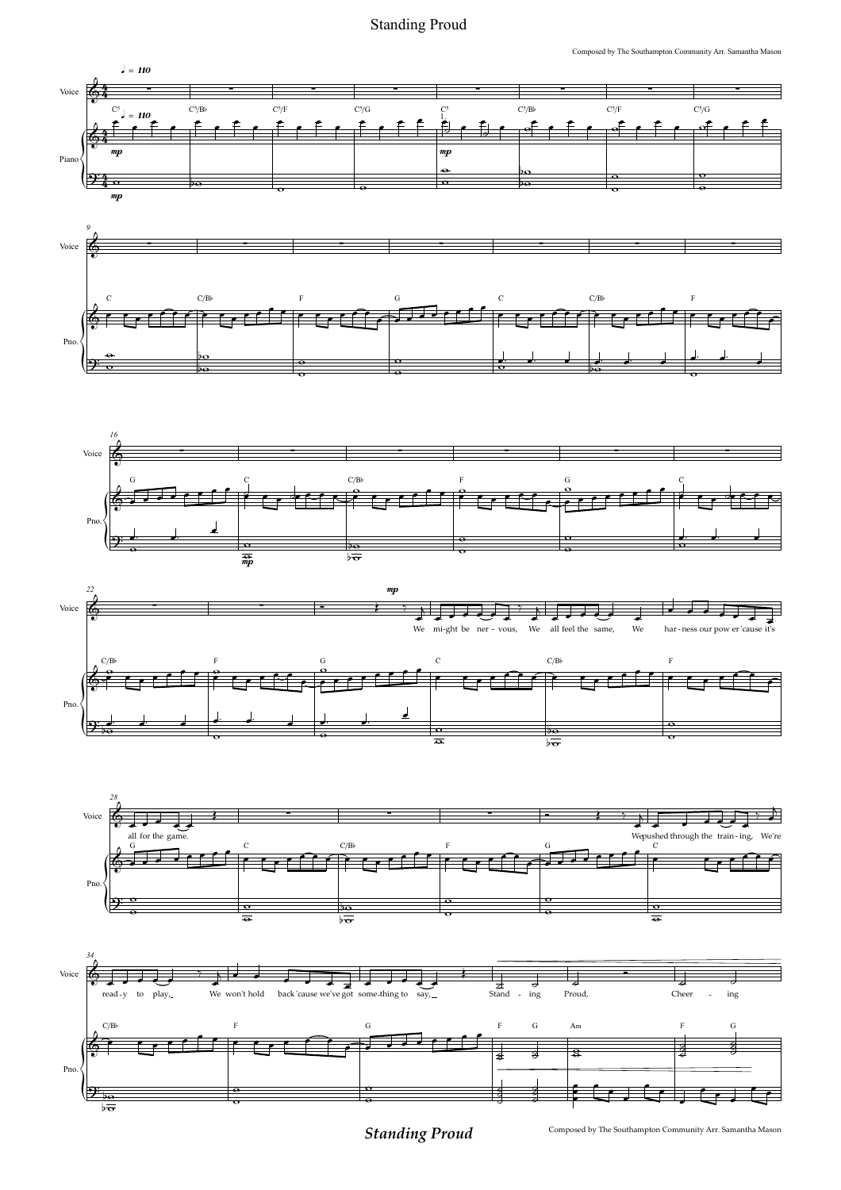Standing Proud<br>
Composed by The Southampton Community Arr. Samantha Mason Standing Proud



Composed by The Southampton Community Arr. Samantha Mason *Standing Proud*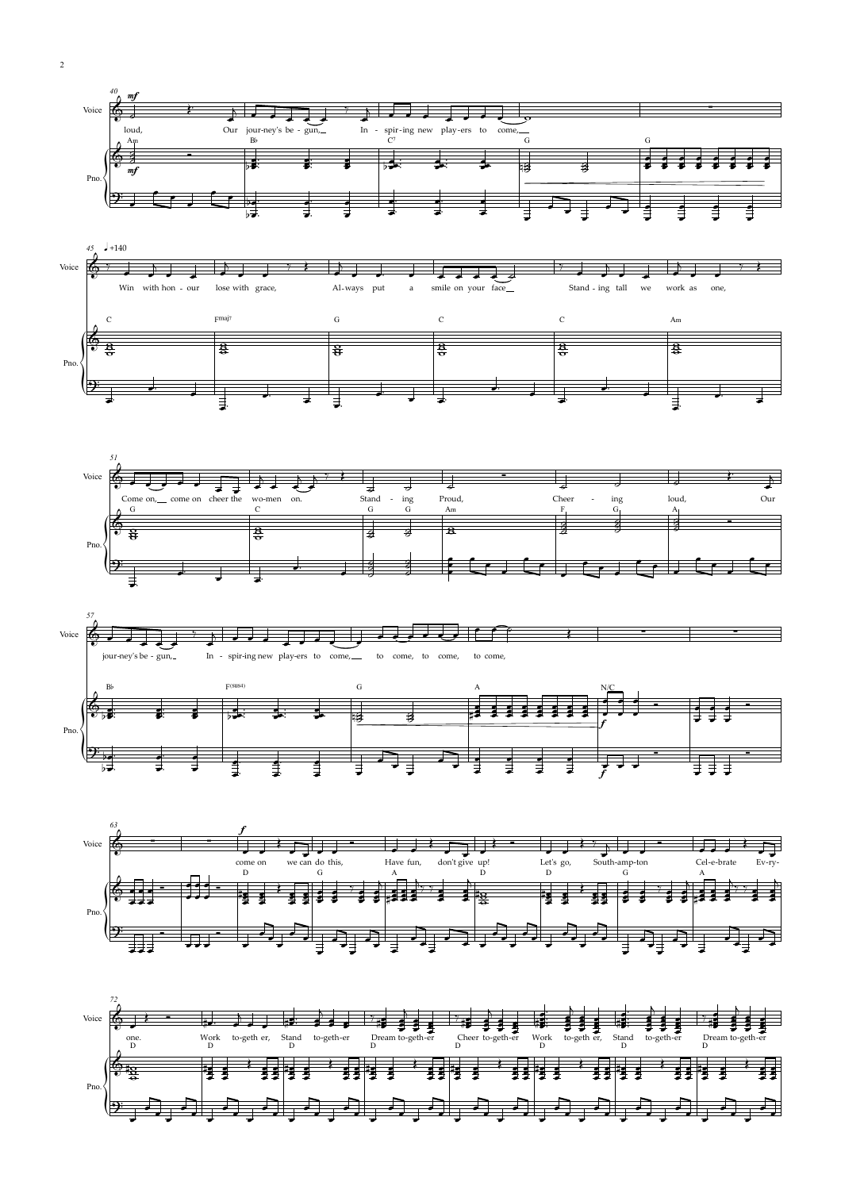











2